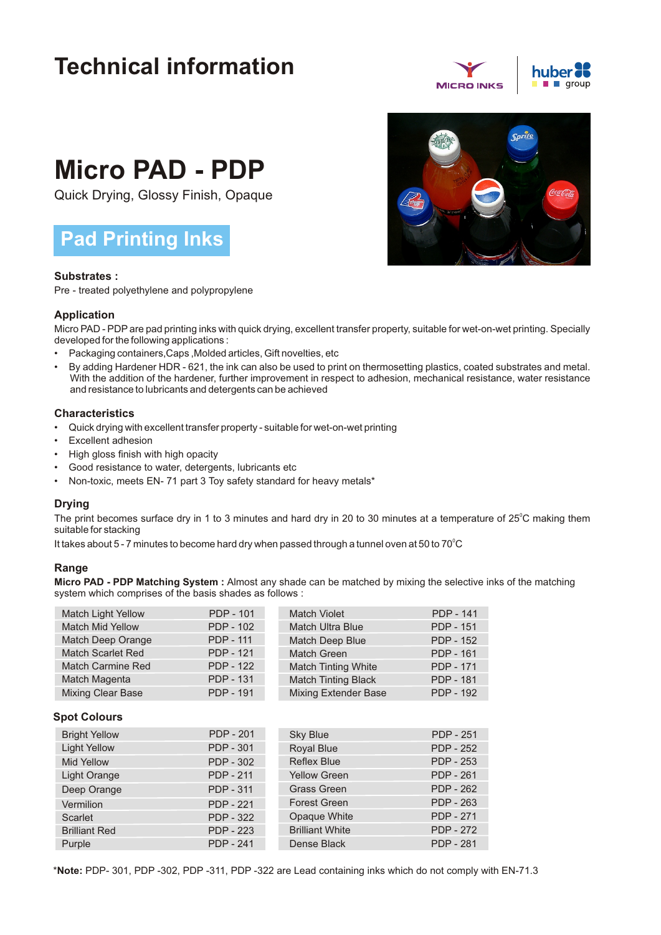## **Technical information**



# **Micro PAD - PDP**

Quick Drying, Glossy Finish, Opaque

### **Pad Printing Inks**

#### **Substrates :**

Pre - treated polyethylene and polypropylene

#### **Application**

Micro PAD - PDP are pad printing inks with quick drying, excellent transfer property, suitable for wet-on-wet printing. Specially developed for the following applications :

- Packaging containers,Caps ,Molded articles, Gift novelties, etc
- By adding Hardener HDR 621, the ink can also be used to print on thermosetting plastics, coated substrates and metal. With the addition of the hardener, further improvement in respect to adhesion, mechanical resistance, water resistance and resistance to lubricants and detergents can be achieved

#### **Characteristics**

- Quick drying with excellent transfer property suitable for wet-on-wet printing
- Excellent adhesion
- High gloss finish with high opacity
- Good resistance to water, detergents, lubricants etc
- Non-toxic, meets EN- 71 part 3 Toy safety standard for heavy metals\*

#### **Drying**

The print becomes surface dry in 1 to 3 minutes and hard dry in 20 to 30 minutes at a temperature of 25°C making them suitable for stacking

It takes about 5 - 7 minutes to become hard dry when passed through a tunnel oven at 50 to 70 $^{\circ}$ C

#### **Range**

**Micro PAD - PDP Matching System :** Almost any shade can be matched by mixing the selective inks of the matching system which comprises of the basis shades as follows :

| PDP - 101        | <b>Match Violet</b>         | <b>PDP - 141</b> |
|------------------|-----------------------------|------------------|
| <b>PDP - 102</b> | <b>Match Ultra Blue</b>     | <b>PDP - 151</b> |
| <b>PDP - 111</b> | Match Deep Blue             | <b>PDP - 152</b> |
| <b>PDP - 121</b> | <b>Match Green</b>          | <b>PDP - 161</b> |
| <b>PDP - 122</b> | <b>Match Tinting White</b>  | <b>PDP - 171</b> |
| <b>PDP - 131</b> | <b>Match Tinting Black</b>  | <b>PDP - 181</b> |
| <b>PDP - 191</b> | <b>Mixing Extender Base</b> | <b>PDP - 192</b> |
|                  |                             |                  |

#### **Spot Colours**

| <b>Bright Yellow</b> | <b>PDP - 201</b> | <b>Sky Blue</b>        | <b>PDP - 251</b> |
|----------------------|------------------|------------------------|------------------|
| <b>Light Yellow</b>  | <b>PDP - 301</b> | Royal Blue             | <b>PDP - 252</b> |
| <b>Mid Yellow</b>    | PDP - 302        | <b>Reflex Blue</b>     | <b>PDP - 253</b> |
| Light Orange         | <b>PDP - 211</b> | <b>Yellow Green</b>    | <b>PDP - 261</b> |
| Deep Orange          | <b>PDP - 311</b> | <b>Grass Green</b>     | <b>PDP - 262</b> |
| Vermilion            | <b>PDP - 221</b> | <b>Forest Green</b>    | <b>PDP - 263</b> |
| <b>Scarlet</b>       | <b>PDP - 322</b> | Opaque White           | <b>PDP - 271</b> |
| <b>Brilliant Red</b> | <b>PDP - 223</b> | <b>Brilliant White</b> | <b>PDP - 272</b> |
| Purple               | <b>PDP - 241</b> | Dense Black            | <b>PDP - 281</b> |